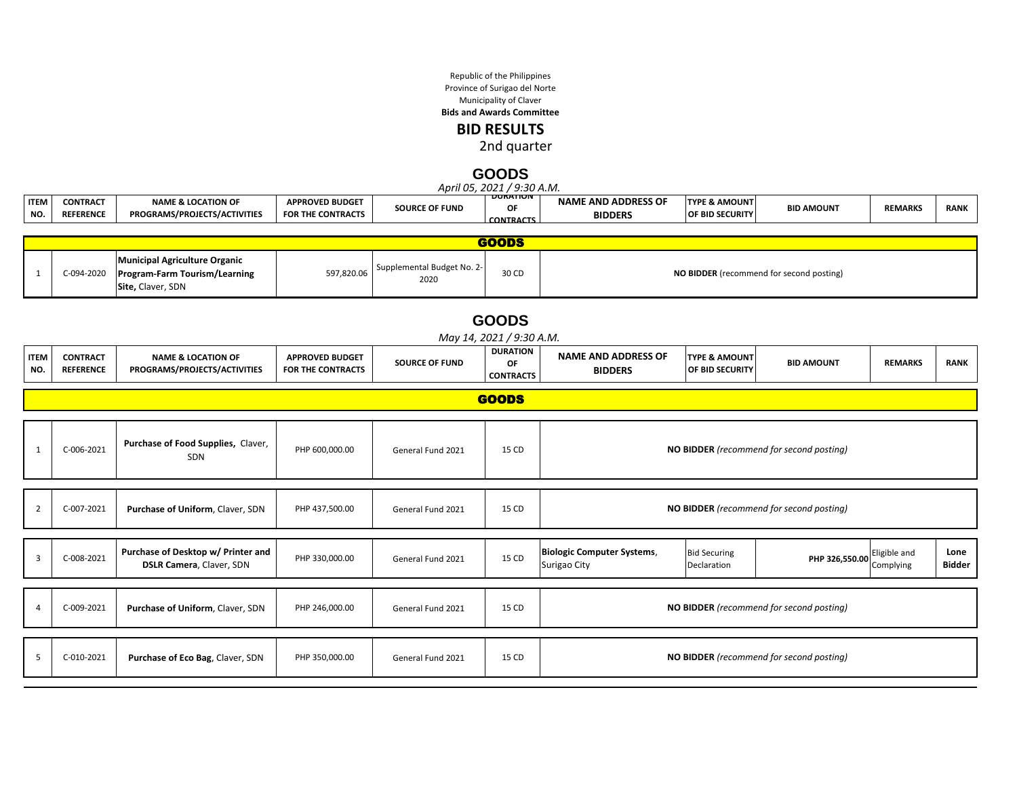Republic of the Philippines Province of Surigao del Norte Municipality of Claver

**Bids and Awards Committee**

**BID RESULTS**

2nd quarter

#### **GOODS**

|                    |                                     |                                                                                            |                                             |                                    | April 05, 2021 / 9:30 A.M.                |                                                   |                                             |                                          |                           |                |  |  |
|--------------------|-------------------------------------|--------------------------------------------------------------------------------------------|---------------------------------------------|------------------------------------|-------------------------------------------|---------------------------------------------------|---------------------------------------------|------------------------------------------|---------------------------|----------------|--|--|
| <b>ITEM</b><br>NO. | <b>CONTRACT</b><br><b>REFERENCE</b> | <b>NAME &amp; LOCATION OF</b><br>PROGRAMS/PROJECTS/ACTIVITIES                              | <b>APPROVED BUDGET</b><br>FOR THE CONTRACTS | <b>SOURCE OF FUND</b>              | <b>DURATION</b><br>ΟF<br><b>CONTRACTS</b> | <b>NAME AND ADDRESS OF</b><br><b>BIDDERS</b>      | <b>TYPE &amp; AMOUNT</b><br>OF BID SECURITY | <b>BID AMOUNT</b>                        | <b>REMARKS</b>            | <b>RANK</b>    |  |  |
|                    |                                     |                                                                                            |                                             |                                    | <b>GOODS</b>                              |                                                   |                                             |                                          |                           |                |  |  |
| 1                  | C-094-2020                          | <b>Municipal Agriculture Organic</b><br>Program-Farm Tourism/Learning<br>Site, Claver, SDN | 597,820.06                                  | Supplemental Budget No. 2-<br>2020 | 30 CD                                     | NO BIDDER (recommend for second posting)          |                                             |                                          |                           |                |  |  |
|                    |                                     |                                                                                            |                                             |                                    | <b>GOODS</b><br>May 14, 2021 / 9:30 A.M.  |                                                   |                                             |                                          |                           |                |  |  |
| <b>ITEM</b><br>NO. | <b>CONTRACT</b><br><b>REFERENCE</b> | <b>NAME &amp; LOCATION OF</b><br>PROGRAMS/PROJECTS/ACTIVITIES                              | <b>APPROVED BUDGET</b><br>FOR THE CONTRACTS | <b>SOURCE OF FUND</b>              | <b>DURATION</b><br>OF<br><b>CONTRACTS</b> | <b>NAME AND ADDRESS OF</b><br><b>BIDDERS</b>      | <b>TYPE &amp; AMOUNT</b><br>OF BID SECURITY | <b>BID AMOUNT</b>                        | <b>REMARKS</b>            | <b>RANK</b>    |  |  |
|                    |                                     |                                                                                            |                                             |                                    | <b>GOODS</b>                              |                                                   |                                             |                                          |                           |                |  |  |
|                    |                                     |                                                                                            |                                             |                                    |                                           |                                                   |                                             |                                          |                           |                |  |  |
| 1                  | C-006-2021                          | Purchase of Food Supplies, Claver,<br>SDN                                                  | PHP 600,000.00                              | General Fund 2021                  | 15 CD                                     |                                                   |                                             | NO BIDDER (recommend for second posting) |                           |                |  |  |
|                    |                                     |                                                                                            |                                             |                                    |                                           |                                                   |                                             |                                          |                           |                |  |  |
| 2                  | C-007-2021                          | Purchase of Uniform, Claver, SDN                                                           | PHP 437,500.00                              | General Fund 2021                  | 15 CD                                     |                                                   |                                             | NO BIDDER (recommend for second posting) |                           |                |  |  |
| 3                  | C-008-2021                          | Purchase of Desktop w/ Printer and<br><b>DSLR Camera, Claver, SDN</b>                      | PHP 330,000.00                              | General Fund 2021                  | 15 CD                                     | <b>Biologic Computer Systems,</b><br>Surigao City | <b>Bid Securing</b><br>Declaration          | PHP 326,550.00                           | Eligible and<br>Complying | Lone<br>Bidder |  |  |
|                    |                                     |                                                                                            |                                             |                                    |                                           |                                                   |                                             |                                          |                           |                |  |  |
|                    | C-009-2021                          | Purchase of Uniform, Claver, SDN                                                           | PHP 246,000.00                              | General Fund 2021                  | 15 CD                                     |                                                   |                                             | NO BIDDER (recommend for second posting) |                           |                |  |  |
|                    |                                     |                                                                                            |                                             |                                    |                                           |                                                   |                                             |                                          |                           |                |  |  |
| 5                  | C-010-2021                          | Purchase of Eco Bag, Claver, SDN                                                           | PHP 350,000.00                              | General Fund 2021                  | 15 CD                                     |                                                   |                                             | NO BIDDER (recommend for second posting) |                           |                |  |  |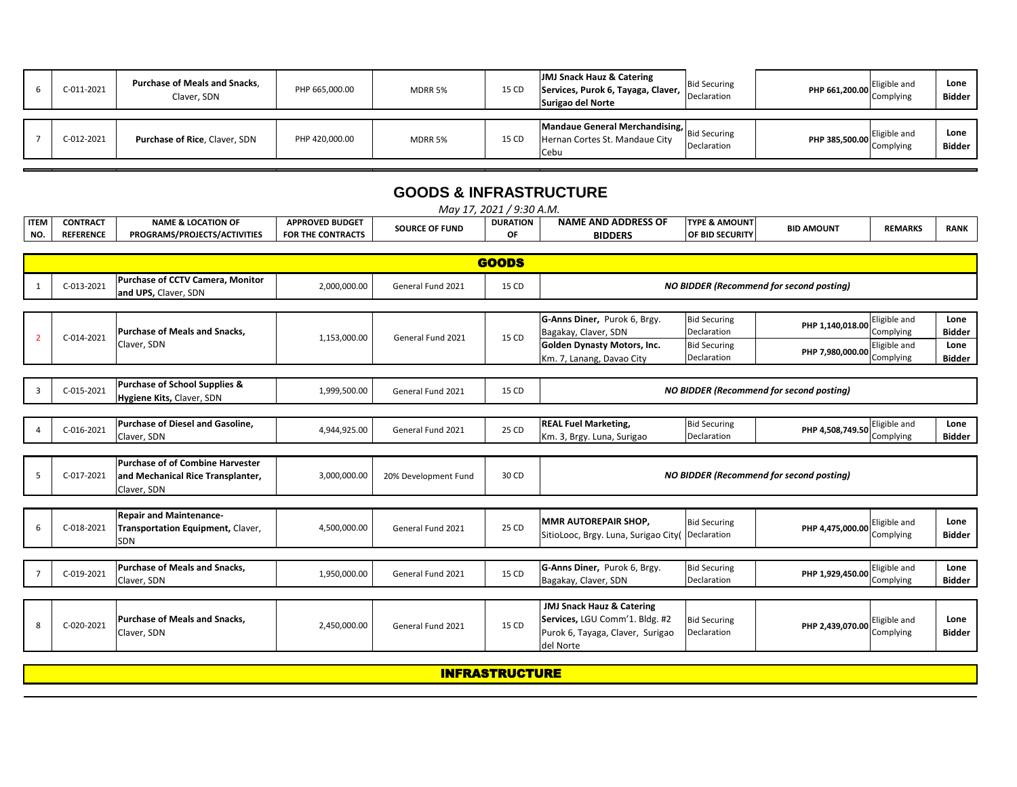| C-011-2021 | Purchase of Meals and Snacks,<br>Claver, SDN | PHP 665,000.00 | <b>MDRR 5%</b> | 15 CD | JMJ Snack Hauz & Catering<br>Services, Purok 6, Tayaga, Claver,<br><b>Surigao del Norte</b> | <b>Bid Securing</b><br>Declaration | PHP 661,200.00 | Eligible and<br>Complying | Lone<br>Bidder |
|------------|----------------------------------------------|----------------|----------------|-------|---------------------------------------------------------------------------------------------|------------------------------------|----------------|---------------------------|----------------|
| C-012-2021 | Purchase of Rice, Claver, SDN                | PHP 420,000.00 | MDRR 5%        | 15 CD | Mandaue General Merchandising,<br>Hernan Cortes St. Mandaue City<br>Cebu                    | <b>Bid Securing</b><br>Declaration | PHP 385,500.00 | Eligible and<br>Complying | Lone<br>Bidder |

## **GOODS & INFRASTRUCTURE**

|                |                  |                                                          |                          |                       | May 17, 2021 / 9:30 A.M. |                                      |                          |                                                 |                |               |
|----------------|------------------|----------------------------------------------------------|--------------------------|-----------------------|--------------------------|--------------------------------------|--------------------------|-------------------------------------------------|----------------|---------------|
| <b>ITEM</b>    | <b>CONTRACT</b>  | <b>NAME &amp; LOCATION OF</b>                            | <b>APPROVED BUDGET</b>   | <b>SOURCE OF FUND</b> | <b>DURATION</b>          | <b>NAME AND ADDRESS OF</b>           | <b>TYPE &amp; AMOUNT</b> | <b>BID AMOUNT</b>                               | <b>REMARKS</b> | <b>RANK</b>   |
| NO.            | <b>REFERENCE</b> | PROGRAMS/PROJECTS/ACTIVITIES                             | <b>FOR THE CONTRACTS</b> |                       | OF                       | <b>BIDDERS</b>                       | <b>OF BID SECURITY</b>   |                                                 |                |               |
|                |                  |                                                          |                          |                       |                          |                                      |                          |                                                 |                |               |
|                |                  |                                                          |                          |                       | <b>GOODS</b>             |                                      |                          |                                                 |                |               |
| 1              | C-013-2021       | Purchase of CCTV Camera, Monitor<br>and UPS, Claver, SDN | 2,000,000.00             | General Fund 2021     | 15 CD                    |                                      |                          | <b>NO BIDDER (Recommend for second posting)</b> |                |               |
|                |                  |                                                          |                          |                       |                          |                                      |                          |                                                 |                |               |
|                |                  |                                                          |                          |                       |                          | G-Anns Diner, Purok 6, Brgy.         | <b>Bid Securing</b>      | PHP 1,140,018.00                                | Eligible and   | Lone          |
| $\mathcal{P}$  | C-014-2021       | <b>Purchase of Meals and Snacks.</b>                     | 1,153,000.00             | General Fund 2021     | 15 CD                    | Bagakay, Claver, SDN                 | Declaration              |                                                 | Complying      | <b>Bidder</b> |
|                |                  | Claver, SDN                                              |                          |                       |                          | <b>Golden Dynasty Motors, Inc.</b>   | <b>Bid Securing</b>      | PHP 7,980,000.00                                | Eligible and   | Lone          |
|                |                  |                                                          |                          |                       |                          | Km. 7, Lanang, Davao City            | Declaration              |                                                 | Complying      | <b>Bidder</b> |
|                |                  |                                                          |                          |                       |                          |                                      |                          |                                                 |                |               |
| $\overline{3}$ | C-015-2021       | Purchase of School Supplies &                            | 1,999,500.00             | General Fund 2021     | 15 CD                    |                                      |                          | <b>NO BIDDER (Recommend for second posting)</b> |                |               |
|                |                  | Hygiene Kits, Claver, SDN                                |                          |                       |                          |                                      |                          |                                                 |                |               |
|                |                  |                                                          |                          |                       |                          |                                      |                          |                                                 |                |               |
|                | C-016-2021       | Purchase of Diesel and Gasoline,                         | 4,944,925.00             | General Fund 2021     | 25 CD                    | <b>REAL Fuel Marketing,</b>          | <b>Bid Securing</b>      | PHP 4,508,749.50                                | Eligible and   | Lone          |
|                |                  | Claver, SDN                                              |                          |                       |                          | Km. 3, Brgy. Luna, Surigao           | Declaration              |                                                 | Complying      | Bidder        |
|                |                  | Purchase of of Combine Harvester                         |                          |                       |                          |                                      |                          |                                                 |                |               |
| .5             | C-017-2021       | and Mechanical Rice Transplanter,                        | 3,000,000.00             | 20% Development Fund  | 30 CD                    |                                      |                          | <b>NO BIDDER (Recommend for second posting)</b> |                |               |
|                |                  | Claver, SDN                                              |                          |                       |                          |                                      |                          |                                                 |                |               |
|                |                  |                                                          |                          |                       |                          |                                      |                          |                                                 |                |               |
|                |                  | <b>Repair and Maintenance-</b>                           |                          |                       |                          |                                      |                          |                                                 |                |               |
| 6              | C-018-2021       | Transportation Equipment, Claver,                        | 4,500,000.00             | General Fund 2021     | 25 CD                    | <b>MMR AUTOREPAIR SHOP,</b>          | <b>Bid Securing</b>      | PHP 4,475,000.00                                | Eligible and   | Lone          |
|                |                  | SDN                                                      |                          |                       |                          | SitioLooc, Brgy. Luna, Surigao City( | Declaration              |                                                 | Complying      | <b>Bidder</b> |
|                |                  |                                                          |                          |                       |                          |                                      |                          |                                                 |                |               |
|                |                  | Purchase of Meals and Snacks,                            |                          |                       |                          | G-Anns Diner, Purok 6, Brgy.         | <b>Bid Securing</b>      |                                                 | Eligible and   | Lone          |
|                | C-019-2021       | Claver, SDN                                              | 1,950,000.00             | General Fund 2021     | 15 CD                    | Bagakay, Claver, SDN                 | Declaration              | PHP 1,929,450.00                                | Complying      | Bidder        |
|                |                  |                                                          |                          |                       |                          |                                      |                          |                                                 |                |               |
|                |                  |                                                          |                          |                       |                          | JMJ Snack Hauz & Catering            |                          |                                                 |                |               |
|                |                  | <b>Purchase of Meals and Snacks.</b>                     |                          |                       |                          | Services, LGU Comm'1. Bldg. #2       | <b>Bid Securing</b>      |                                                 | Eligible and   | Lone          |
| 8              | C-020-2021       | Claver, SDN                                              | 2,450,000.00             | General Fund 2021     | 15 CD                    | Purok 6, Tayaga, Claver, Surigao     | Declaration              | PHP 2,439,070.00                                | Complying      | <b>Bidder</b> |
|                |                  |                                                          |                          |                       |                          | del Norte                            |                          |                                                 |                |               |

INFRASTRUCTURE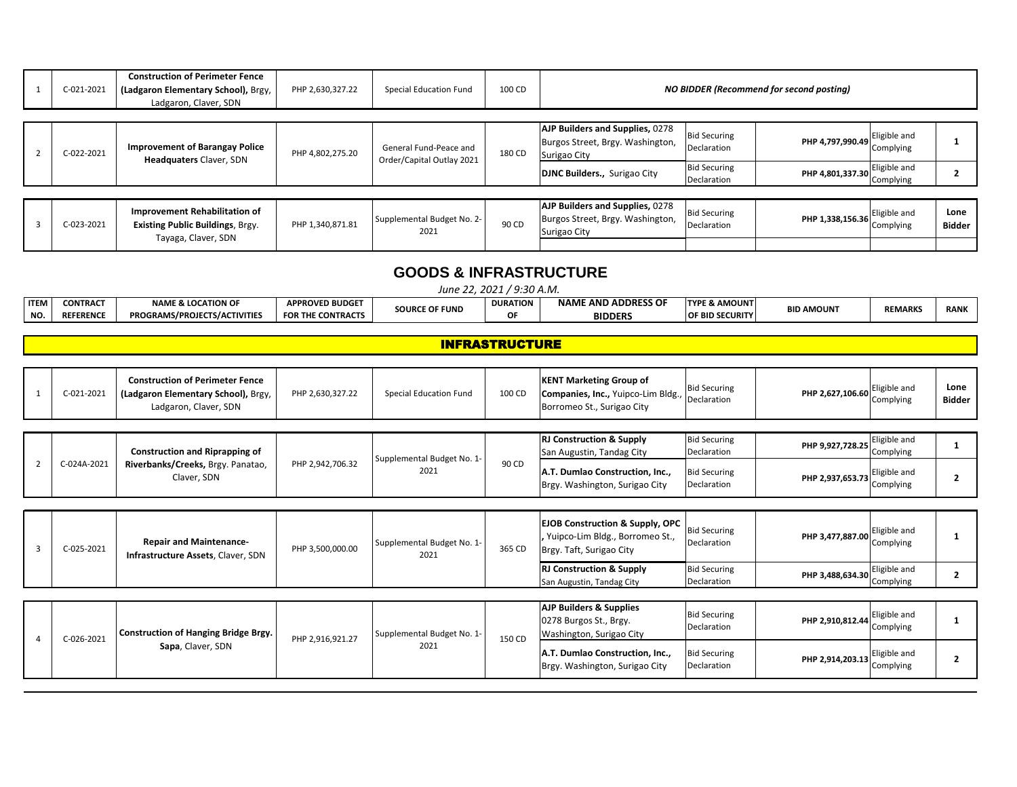| C-021-2021 | <b>Construction of Perimeter Fence</b><br>(Ladgaron Elementary School), Brgy,<br>Ladgaron, Claver, SDN | PHP 2,630,327.22 | <b>Special Education Fund</b>                       | 100 CD |                                                                                                                            |                                                           | <b>NO BIDDER (Recommend for second posting)</b> |                                           |                       |
|------------|--------------------------------------------------------------------------------------------------------|------------------|-----------------------------------------------------|--------|----------------------------------------------------------------------------------------------------------------------------|-----------------------------------------------------------|-------------------------------------------------|-------------------------------------------|-----------------------|
| C-022-2021 | <b>Improvement of Barangay Police</b><br><b>Headquaters Claver, SDN</b>                                | PHP 4,802,275.20 | General Fund-Peace and<br>Order/Capital Outlay 2021 | 180 CD | AJP Builders and Supplies, 0278<br>Burgos Street, Brgy. Washington,<br>Surigao City<br><b>DJNC Builders., Surigao City</b> | <b>Bid Securing</b><br>Declaration<br><b>Bid Securing</b> | PHP 4,797,990.49<br>PHP 4,801,337.30            | Eligible and<br>Complying<br>Eligible and |                       |
|            |                                                                                                        |                  |                                                     |        |                                                                                                                            | Declaration                                               |                                                 | Complying                                 |                       |
| C-023-2021 | Improvement Rehabilitation of<br><b>Existing Public Buildings, Brgy.</b><br>Tayaga, Claver, SDN        | PHP 1,340,871.81 | Supplemental Budget No. 2-<br>2021                  | 90 CD  | AJP Builders and Supplies, 0278<br>Burgos Street, Brgy. Washington,<br>Surigao City                                        | <b>Bid Securing</b><br>Declaration                        | PHP 1,338,156.36                                | Eligible and<br>Complying                 | Lone<br><b>Bidder</b> |
|            |                                                                                                        |                  |                                                     |        |                                                                                                                            |                                                           |                                                 |                                           |                       |

### **GOODS & INFRASTRUCTURE**

|             | $9:30$ A.M.<br>2021<br>June 22. |                               |                                      |                       |                 |                                 |                          |                   |                |             |  |
|-------------|---------------------------------|-------------------------------|--------------------------------------|-----------------------|-----------------|---------------------------------|--------------------------|-------------------|----------------|-------------|--|
| <b>ITEM</b> | <b>CONTRACT</b>                 | <b>NAME &amp; LOCATION OF</b> | <b>APPROVED BUDGET</b>               | <b>SOURCE OF FUND</b> | <b>DURATION</b> | <b>E AND ADDRESS OF</b><br>NAM' | <b>TYPE &amp; AMOUNT</b> | <b>BID AMOUNT</b> | <b>REMARKS</b> | <b>RANK</b> |  |
| NO.         | <b>REFERENCE</b>                | PROGRAMS/PROJECTS/ACTIVITIES  | <b>HE CONTRACTS</b><br><b>FOR TH</b> |                       |                 | <b>BIDDERS</b>                  | <b>OF BID SECURITY</b>   |                   |                |             |  |

#### INFRASTRUCTURE

|                | C-021-2021  | <b>Construction of Perimeter Fence</b><br>(Ladgaron Elementary School), Brgy,<br>Ladgaron, Claver, SDN | PHP 2,630,327.22 | Special Education Fund             | 100 CD | <b>KENT Marketing Group of</b><br>Companies, Inc., Yuipco-Lim Bldg.,<br>Borromeo St., Surigao City        | <b>Bid Securing</b><br>Declaration | PHP 2,627,106.60 | Eligible and<br>Complying | Lone<br><b>Bidder</b> |
|----------------|-------------|--------------------------------------------------------------------------------------------------------|------------------|------------------------------------|--------|-----------------------------------------------------------------------------------------------------------|------------------------------------|------------------|---------------------------|-----------------------|
| $\overline{2}$ | C-024A-2021 | <b>Construction and Riprapping of</b>                                                                  | PHP 2,942,706.32 | Supplemental Budget No. 1-         | 90 CD  | <b>RJ Construction &amp; Supply</b><br>San Augustin, Tandag City                                          | <b>Bid Securing</b><br>Declaration | PHP 9,927,728.25 | Eligible and<br>Complying |                       |
|                |             | Riverbanks/Creeks, Brgy. Panatao,<br>Claver, SDN                                                       |                  | 2021                               |        | A.T. Dumlao Construction, Inc.,<br>Brgy. Washington, Surigao City                                         | <b>Bid Securing</b><br>Declaration | PHP 2,937,653.73 | Eligible and<br>Complying | 2                     |
|                |             |                                                                                                        |                  |                                    |        |                                                                                                           |                                    |                  |                           |                       |
| 3              | C-025-2021  | <b>Repair and Maintenance-</b><br>Infrastructure Assets, Claver, SDN                                   | PHP 3,500,000.00 | Supplemental Budget No. 1-<br>2021 | 365 CD | <b>EJOB Construction &amp; Supply, OPC</b><br>Yuipco-Lim Bldg., Borromeo St.,<br>Brgy. Taft, Surigao City | <b>Bid Securing</b><br>Declaration | PHP 3,477,887.00 | Eligible and<br>Complying |                       |
|                |             |                                                                                                        |                  |                                    |        | <b>RJ Construction &amp; Supply</b><br>San Augustin, Tandag City                                          | <b>Bid Securing</b><br>Declaration | PHP 3,488,634.30 | Eligible and<br>Complying | 2                     |
|                |             |                                                                                                        |                  |                                    |        |                                                                                                           |                                    |                  |                           |                       |
| $\Delta$       | C-026-2021  | <b>Construction of Hanging Bridge Brgy.</b>                                                            | PHP 2,916,921.27 | Supplemental Budget No. 1-         | 150 CD | <b>AJP Builders &amp; Supplies</b><br>0278 Burgos St., Brgy.<br>Washington, Surigao City                  | <b>Bid Securing</b><br>Declaration | PHP 2,910,812.44 | Eligible and<br>Complying |                       |
|                |             | Sapa, Claver, SDN                                                                                      |                  | 2021                               |        | A.T. Dumlao Construction, Inc.,<br>Brgy. Washington, Surigao City                                         | <b>Bid Securing</b><br>Declaration | PHP 2,914,203.13 | Eligible and<br>Complying | 2                     |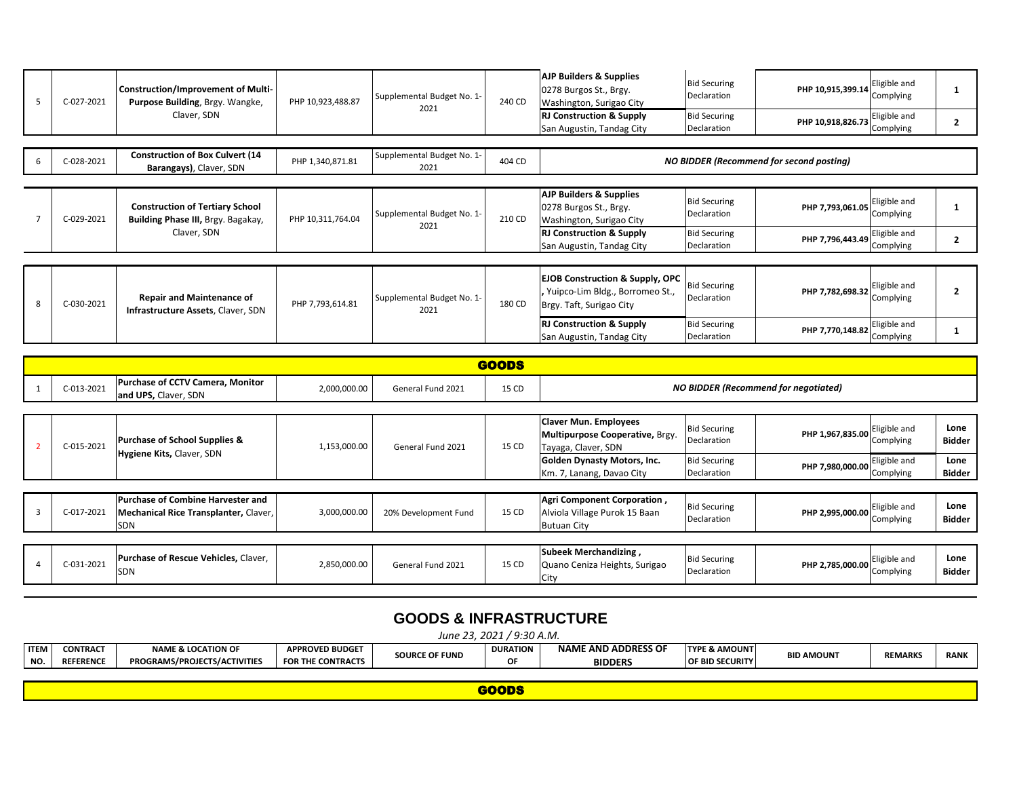| C-027-2021 | <b>Construction/Improvement of Multi-</b><br>Purpose Building, Brgy. Wangke, | PHP 10,923,488.87 | Supplemental Budget No. 1-<br>2021 | 240 CD | <b>AJP Builders &amp; Supplies</b><br>0278 Burgos St., Brgy.<br>Washington, Surigao City                  | <b>Bid Securing</b><br>Declaration | PHP 10,915,399.14                               | Eligible and<br>Complying |  |
|------------|------------------------------------------------------------------------------|-------------------|------------------------------------|--------|-----------------------------------------------------------------------------------------------------------|------------------------------------|-------------------------------------------------|---------------------------|--|
|            | Claver, SDN                                                                  |                   |                                    |        | <b>RJ Construction &amp; Supply</b><br>San Augustin, Tandag City                                          | <b>Bid Securing</b><br>Declaration | PHP 10,918,826.73                               | Eligible and<br>Complying |  |
|            |                                                                              |                   |                                    |        |                                                                                                           |                                    |                                                 |                           |  |
| C-028-2021 | <b>Construction of Box Culvert (14</b><br>Barangays), Claver, SDN            | PHP 1,340,871.81  | Supplemental Budget No. 1-<br>2021 | 404 CD |                                                                                                           |                                    | <b>NO BIDDER (Recommend for second posting)</b> |                           |  |
|            |                                                                              |                   |                                    |        |                                                                                                           |                                    |                                                 |                           |  |
| C-029-2021 | <b>Construction of Tertiary School</b><br>Building Phase III, Brgy. Bagakay, | PHP 10,311,764.04 | Supplemental Budget No. 1-<br>2021 | 210 CD | <b>AJP Builders &amp; Supplies</b><br>0278 Burgos St., Brgy.<br>Washington, Surigao City                  | <b>Bid Securing</b><br>Declaration | PHP 7,793,061.05                                | Eligible and<br>Complying |  |
|            | Claver, SDN                                                                  |                   |                                    |        | <b>RJ Construction &amp; Supply</b><br>San Augustin, Tandag City                                          | <b>Bid Securing</b><br>Declaration | PHP 7,796,443.49                                | Eligible and<br>Complying |  |
|            |                                                                              |                   |                                    |        |                                                                                                           |                                    |                                                 |                           |  |
| C-030-2021 | <b>Repair and Maintenance of</b><br>Infrastructure Assets, Claver, SDN       | PHP 7,793,614.81  | Supplemental Budget No. 1-<br>2021 | 180 CD | <b>EJOB Construction &amp; Supply, OPC</b><br>Yuipco-Lim Bldg., Borromeo St.,<br>Brgy. Taft, Surigao City | <b>Bid Securing</b><br>Declaration | PHP 7,782,698.32                                | Eligible and<br>Complying |  |
|            |                                                                              |                   |                                    |        | <b>RJ Construction &amp; Supply</b><br>San Augustin, Tandag City                                          | <b>Bid Securing</b><br>Declaration | PHP 7,770,148.82                                | Eligible and<br>Complying |  |

|   |            |                                                                                                 |              |                      | <b>GOODS</b>                                             |                                                                                        |                                    |                                             |                           |                       |
|---|------------|-------------------------------------------------------------------------------------------------|--------------|----------------------|----------------------------------------------------------|----------------------------------------------------------------------------------------|------------------------------------|---------------------------------------------|---------------------------|-----------------------|
|   | C-013-2021 | <b>Purchase of CCTV Camera, Monitor</b><br>and UPS, Claver, SDN                                 | 2,000,000.00 | General Fund 2021    | 15 CD                                                    |                                                                                        |                                    | <b>NO BIDDER (Recommend for negotiated)</b> |                           |                       |
|   |            |                                                                                                 |              |                      |                                                          |                                                                                        |                                    |                                             |                           |                       |
|   | C-015-2021 | <b>Purchase of School Supplies &amp;</b><br>Hygiene Kits, Claver, SDN                           | 1,153,000.00 | General Fund 2021    | 15 CD                                                    | <b>Claver Mun. Employees</b><br>Multipurpose Cooperative, Brgy.<br>Tayaga, Claver, SDN | <b>Bid Securing</b><br>Declaration | PHP 1,967,835.00                            | Eligible and<br>Complying | Lone<br>Bidder        |
|   |            |                                                                                                 |              |                      | Golden Dynasty Motors, Inc.<br>Km. 7, Lanang, Davao City | <b>Bid Securing</b><br>Declaration                                                     | PHP 7,980,000.00                   | Eligible and<br>Complying                   | Lone<br>Bidder            |                       |
|   |            |                                                                                                 |              |                      |                                                          |                                                                                        |                                    |                                             |                           |                       |
| 3 | C-017-2021 | <b>Purchase of Combine Harvester and</b><br>Mechanical Rice Transplanter, Claver,<br><b>SDN</b> | 3,000,000.00 | 20% Development Fund | 15 CD                                                    | Agri Component Corporation,<br>Alviola Village Purok 15 Baan<br><b>Butuan City</b>     | <b>Bid Securing</b><br>Declaration | PHP 2,995,000.00                            | Eligible and<br>Complying | Lone<br><b>Bidder</b> |
|   |            |                                                                                                 |              |                      |                                                          |                                                                                        |                                    |                                             |                           |                       |
|   | C-031-2021 | Purchase of Rescue Vehicles, Claver,<br><b>SDN</b>                                              | 2,850,000.00 | General Fund 2021    | 15 CD                                                    | Subeek Merchandizing,<br>Quano Ceniza Heights, Surigao<br><b>City</b>                  | <b>Bid Securing</b><br>Declaration | PHP 2,785,000.00                            | Eligible and<br>Complying | Lone<br><b>Bidder</b> |

# **GOODS & INFRASTRUCTURE**

*June 23, 2021 / 9:30 A.M.*<br>**puration** | **N ITEM NO. CONTRACT REFERENCE NAME & LOCATION OF PROGRAMS/PROJECTS/ACTIVITIES APPROVED BUDGET FOR THE CONTRACTS SOURCE OF FUND OF NAME AND ADDRESS OF BIDDERS TYPE & AMOUNT OF BID SECURITY BID AMOUNT REMARKS RANK**

| ----- |
|-------|
|       |